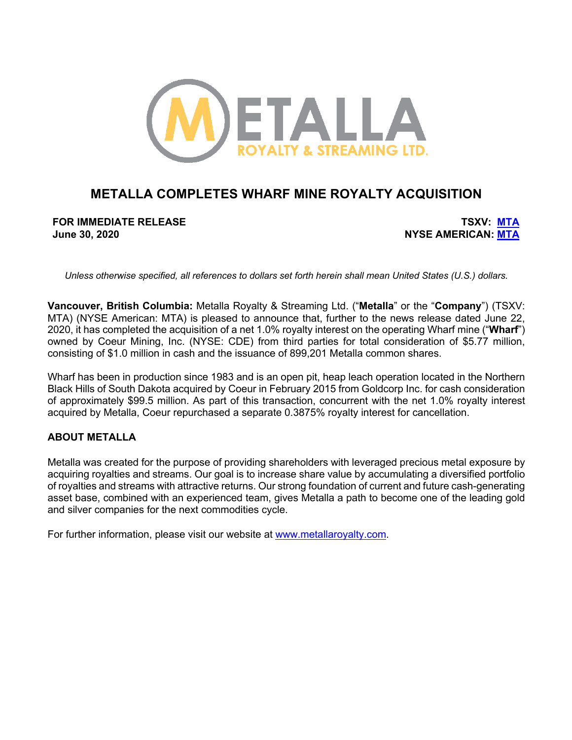

# **METALLA COMPLETES WHARF MINE ROYALTY ACQUISITION**

**FOR IMMEDIATE RELEASE TSXV: MTA June 30, 2020 NYSE AMERICAN: MTA**

*Unless otherwise specified, all references to dollars set forth herein shall mean United States (U.S.) dollars.*

**Vancouver, British Columbia:** Metalla Royalty & Streaming Ltd. ("**Metalla**" or the "**Company**") (TSXV: MTA) (NYSE American: MTA) is pleased to announce that, further to the news release dated June 22, 2020, it has completed the acquisition of a net 1.0% royalty interest on the operating Wharf mine ("**Wharf**") owned by Coeur Mining, Inc. (NYSE: CDE) from third parties for total consideration of \$5.77 million, consisting of \$1.0 million in cash and the issuance of 899,201 Metalla common shares.

Wharf has been in production since 1983 and is an open pit, heap leach operation located in the Northern Black Hills of South Dakota acquired by Coeur in February 2015 from Goldcorp Inc. for cash consideration of approximately \$99.5 million. As part of this transaction, concurrent with the net 1.0% royalty interest acquired by Metalla, Coeur repurchased a separate 0.3875% royalty interest for cancellation.

# **ABOUT METALLA**

Metalla was created for the purpose of providing shareholders with leveraged precious metal exposure by acquiring royalties and streams. Our goal is to increase share value by accumulating a diversified portfolio of royalties and streams with attractive returns. Our strong foundation of current and future cash-generating asset base, combined with an experienced team, gives Metalla a path to become one of the leading gold and silver companies for the next commodities cycle.

For further information, please visit our website at www.metallaroyalty.com.